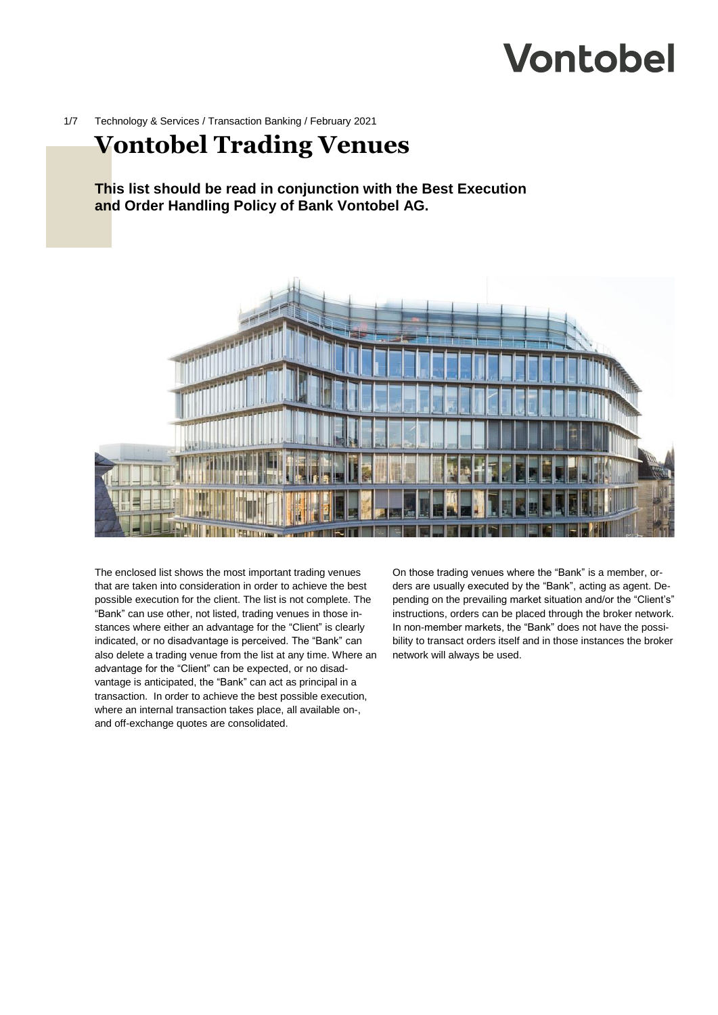# **Vontobel**

1/7 Technology & Services / Transaction Banking / February 2021

## **Vontobel Trading Venues**

**This list should be read in conjunction with the Best Execution and Order Handling Policy of Bank Vontobel AG.**



The enclosed list shows the most important trading venues that are taken into consideration in order to achieve the best possible execution for the client. The list is not complete. The "Bank" can use other, not listed, trading venues in those instances where either an advantage for the "Client" is clearly indicated, or no disadvantage is perceived. The "Bank" can also delete a trading venue from the list at any time. Where an advantage for the "Client" can be expected, or no disadvantage is anticipated, the "Bank" can act as principal in a transaction. In order to achieve the best possible execution, where an internal transaction takes place, all available on-, and off-exchange quotes are consolidated.

On those trading venues where the "Bank" is a member, orders are usually executed by the "Bank", acting as agent. Depending on the prevailing market situation and/or the "Client's" instructions, orders can be placed through the broker network. In non-member markets, the "Bank" does not have the possibility to transact orders itself and in those instances the broker network will always be used.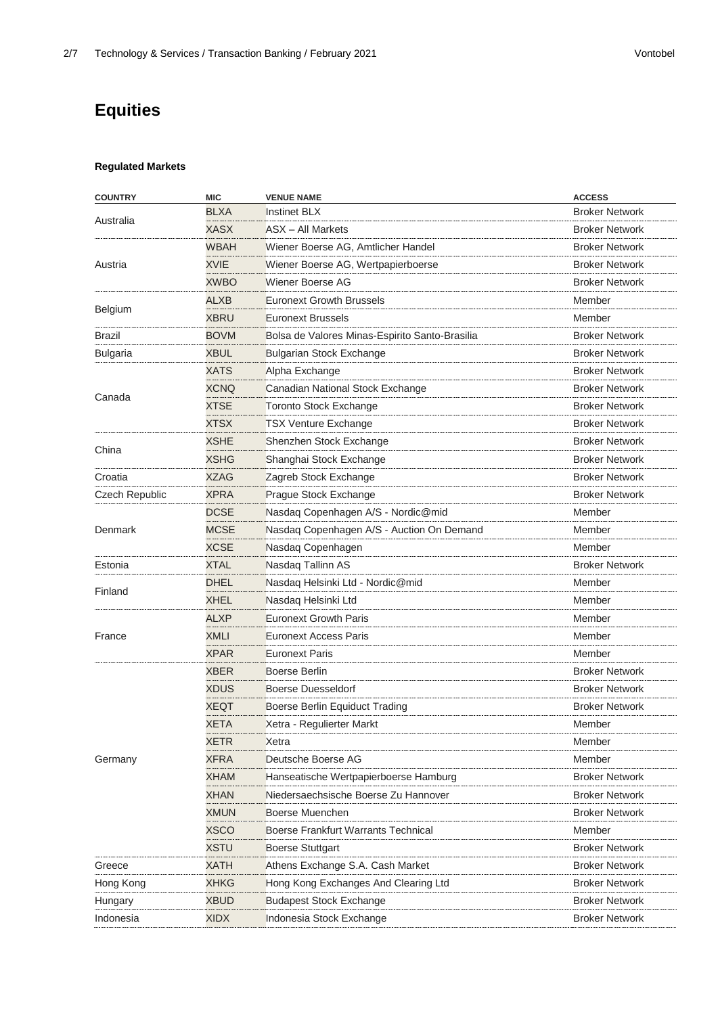## **Equities**

#### **Regulated Markets**

| <b>COUNTRY</b>  | <b>MIC</b>  | <b>VENUE NAME</b>                              | <b>ACCESS</b>         |
|-----------------|-------------|------------------------------------------------|-----------------------|
| Australia       | <b>BLXA</b> | <b>Instinet BLX</b>                            | <b>Broker Network</b> |
|                 | XASX        | <b>ASX</b> - All Markets                       | <b>Broker Network</b> |
| Austria         | WBAH        | Wiener Boerse AG, Amtlicher Handel             | <b>Broker Network</b> |
|                 | <b>XVIE</b> | Wiener Boerse AG, Wertpapierboerse             | <b>Broker Network</b> |
|                 | <b>XWBO</b> | Wiener Boerse AG                               | <b>Broker Network</b> |
|                 | ALXB        | <b>Euronext Growth Brussels</b>                | Member                |
| Belgium         | <b>XBRU</b> | <b>Euronext Brussels</b>                       | Member                |
| Brazil          | <b>BOVM</b> | Bolsa de Valores Minas-Espirito Santo-Brasilia | <b>Broker Network</b> |
| <b>Bulgaria</b> | <b>XBUL</b> | <b>Bulgarian Stock Exchange</b>                | <b>Broker Network</b> |
|                 | XATS        | Alpha Exchange                                 | <b>Broker Network</b> |
|                 | <b>XCNQ</b> | Canadian National Stock Exchange               | <b>Broker Network</b> |
| Canada          | <b>XTSE</b> | <b>Toronto Stock Exchange</b>                  | <b>Broker Network</b> |
|                 | <b>XTSX</b> | <b>TSX Venture Exchange</b>                    | <b>Broker Network</b> |
|                 | <b>XSHE</b> | Shenzhen Stock Exchange                        | <b>Broker Network</b> |
| China           | <b>XSHG</b> | Shanghai Stock Exchange                        | <b>Broker Network</b> |
| Croatia         | <b>XZAG</b> | Zagreb Stock Exchange                          | <b>Broker Network</b> |
| Czech Republic  | <b>XPRA</b> | Prague Stock Exchange                          | <b>Broker Network</b> |
|                 | <b>DCSE</b> | Nasdaq Copenhagen A/S - Nordic@mid             | Member                |
| Denmark         | MCSE        | Nasdaq Copenhagen A/S - Auction On Demand      | Member                |
|                 | <b>XCSE</b> | Nasdag Copenhagen                              | Member                |
| Estonia         | <b>XTAL</b> | Nasdag Tallinn AS                              | <b>Broker Network</b> |
|                 | <b>DHEL</b> | Nasdaq Helsinki Ltd - Nordic@mid               | Member                |
| Finland         | <b>XHEL</b> | Nasdaq Helsinki Ltd                            | Member                |
|                 | <b>ALXP</b> | <b>Euronext Growth Paris</b>                   | Member                |
| France          | <b>XMLI</b> | <b>Euronext Access Paris</b>                   | Member                |
|                 | <b>XPAR</b> | <b>Euronext Paris</b>                          | Member                |
|                 | <b>XBER</b> | Boerse Berlin                                  | <b>Broker Network</b> |
|                 | XDUS        | Boerse Duesseldorf                             | <b>Broker Network</b> |
|                 | <b>XEQT</b> | Boerse Berlin Equiduct Trading                 | <b>Broker Network</b> |
|                 | <b>XETA</b> | Xetra - Regulierter Markt                      | Member                |
|                 | <b>XETR</b> | Xetra                                          | Member                |
| Germany         | <b>XFRA</b> | Deutsche Boerse AG                             | Member                |
|                 | <b>XHAM</b> | Hanseatische Wertpapierboerse Hamburg          | <b>Broker Network</b> |
|                 | <b>XHAN</b> | Niedersaechsische Boerse Zu Hannover           | <b>Broker Network</b> |
|                 | <b>XMUN</b> | Boerse Muenchen                                | <b>Broker Network</b> |
|                 | <b>XSCO</b> | Boerse Frankfurt Warrants Technical            | Member                |
|                 | <b>XSTU</b> | <b>Boerse Stuttgart</b>                        | <b>Broker Network</b> |
| Greece          | <b>XATH</b> | Athens Exchange S.A. Cash Market               | <b>Broker Network</b> |
| Hong Kong       | <b>XHKG</b> | Hong Kong Exchanges And Clearing Ltd           | <b>Broker Network</b> |
| Hungary         | <b>XBUD</b> | <b>Budapest Stock Exchange</b>                 | <b>Broker Network</b> |
| Indonesia       | <b>XIDX</b> | Indonesia Stock Exchange                       | <b>Broker Network</b> |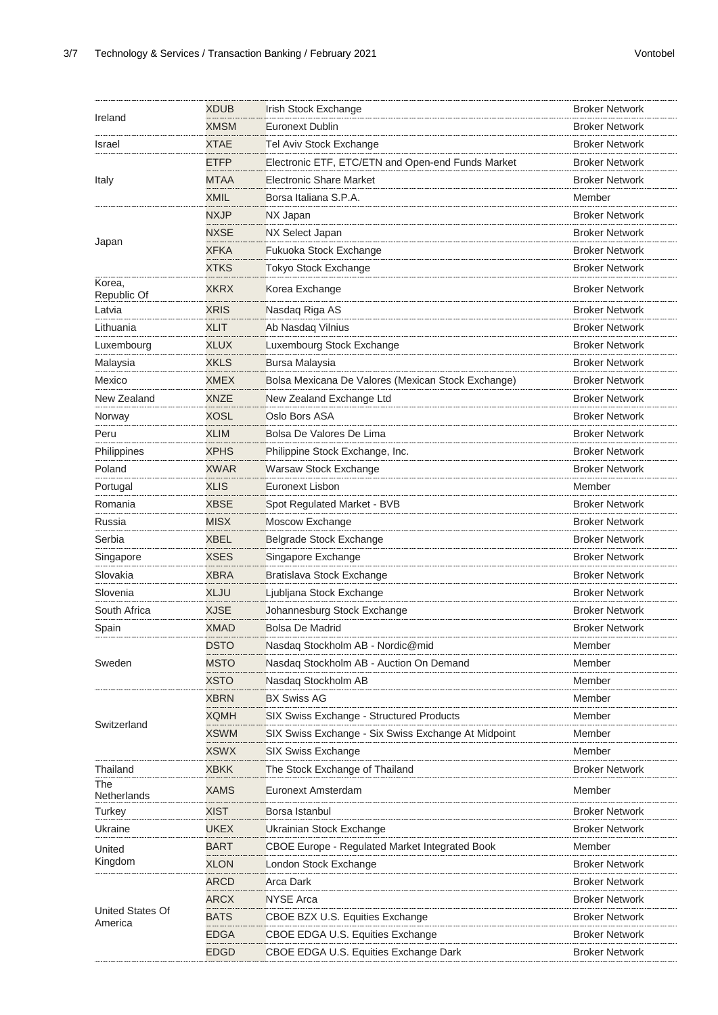| Ireland                     | <b>XDUB</b> | <b>Irish Stock Exchange</b>                           | <b>Broker Network</b> |
|-----------------------------|-------------|-------------------------------------------------------|-----------------------|
|                             | <b>XMSM</b> | Euronext Dublin                                       | <b>Broker Network</b> |
| Israel                      | <b>XTAE</b> | <b>Tel Aviv Stock Exchange</b>                        | <b>Broker Network</b> |
| Italy                       | <b>ETFP</b> | Electronic ETF, ETC/ETN and Open-end Funds Market     | <b>Broker Network</b> |
|                             | <b>MTAA</b> | <b>Electronic Share Market</b>                        | <b>Broker Network</b> |
|                             | <b>XMIL</b> | Borsa Italiana S.P.A.                                 | Member                |
|                             | <b>NXJP</b> | NX Japan                                              | <b>Broker Network</b> |
|                             | <b>NXSE</b> | <b>NX Select Japan</b>                                | <b>Broker Network</b> |
| Japan                       | <b>XFKA</b> | Fukuoka Stock Exchange                                | <b>Broker Network</b> |
|                             | <b>XTKS</b> | <b>Tokyo Stock Exchange</b>                           | <b>Broker Network</b> |
| Korea,<br>Republic Of       | <b>XKRX</b> | Korea Exchange                                        | <b>Broker Network</b> |
| Latvia                      | <b>XRIS</b> | Nasdaq Riga AS                                        | <b>Broker Network</b> |
| Lithuania                   | <b>XLIT</b> | Ab Nasdaq Vilnius                                     | <b>Broker Network</b> |
| Luxembourg                  | <b>XLUX</b> | Luxembourg Stock Exchange                             | <b>Broker Network</b> |
| Malaysia                    | <b>XKLS</b> | <b>Bursa Malaysia</b>                                 | <b>Broker Network</b> |
| Mexico                      | <b>XMEX</b> | Bolsa Mexicana De Valores (Mexican Stock Exchange)    | <b>Broker Network</b> |
| New Zealand                 | <b>XNZE</b> | New Zealand Exchange Ltd                              | <b>Broker Network</b> |
| Norway                      | XOSL        | Oslo Bors ASA                                         | <b>Broker Network</b> |
| Peru                        | <b>XLIM</b> | Bolsa De Valores De Lima                              | <b>Broker Network</b> |
| Philippines                 | <b>XPHS</b> | Philippine Stock Exchange, Inc.                       | <b>Broker Network</b> |
| Poland                      | <b>XWAR</b> | Warsaw Stock Exchange                                 | <b>Broker Network</b> |
| Portugal                    | <b>XLIS</b> | Euronext Lisbon                                       | Member                |
| Romania                     | <b>XBSE</b> | Spot Regulated Market - BVB                           | <b>Broker Network</b> |
| Russia                      | <b>MISX</b> | Moscow Exchange                                       | <b>Broker Network</b> |
| Serbia                      | XBEL        | Belgrade Stock Exchange                               | <b>Broker Network</b> |
| Singapore                   | XSES        | Singapore Exchange                                    | <b>Broker Network</b> |
| Slovakia                    | <b>XBRA</b> | Bratislava Stock Exchange                             | <b>Broker Network</b> |
| Slovenia                    | <b>XLJU</b> | Ljubljana Stock Exchange                              | <b>Broker Network</b> |
| South Africa                | XJSE        | Johannesburg Stock Exchange                           | <b>Broker Network</b> |
| Spain                       | <b>XMAD</b> | Bolsa De Madrid                                       | <b>Broker Network</b> |
|                             | <b>DSTO</b> | Nasdaq Stockholm AB - Nordic@mid                      | Member                |
| Sweden                      | <b>MSTO</b> | Nasdag Stockholm AB - Auction On Demand               | Member                |
|                             | <b>XSTO</b> | Nasdag Stockholm AB                                   | Member                |
|                             | <b>XBRN</b> | <b>BX Swiss AG</b>                                    | Member                |
|                             | XQMH        | SIX Swiss Exchange - Structured Products              | Member                |
| Switzerland                 | XSWM        | SIX Swiss Exchange - Six Swiss Exchange At Midpoint   | Member                |
|                             | <b>XSWX</b> | SIX Swiss Exchange                                    | Member                |
| Thailand                    | <b>XBKK</b> | The Stock Exchange of Thailand                        | <b>Broker Network</b> |
| The<br>Netherlands          | <b>XAMS</b> | Euronext Amsterdam                                    | Member                |
| <b>Turkey</b>               | <b>XIST</b> | Borsa Istanbul                                        | <b>Broker Network</b> |
| Ukraine                     | UKEX        | Ukrainian Stock Exchange                              | <b>Broker Network</b> |
| United<br>Kingdom           | BART        | <b>CBOE Europe - Regulated Market Integrated Book</b> | Member                |
|                             | <b>XLON</b> | London Stock Exchange                                 | <b>Broker Network</b> |
|                             | <b>ARCD</b> | <b>Arca Dark</b>                                      | <b>Broker Network</b> |
|                             | <b>ARCX</b> | <b>NYSE Arca</b>                                      | <b>Broker Network</b> |
| United States Of<br>America | <b>BATS</b> | CBOE BZX U.S. Equities Exchange                       | <b>Broker Network</b> |
|                             | <b>EDGA</b> | CBOE EDGA U.S. Equities Exchange                      | <b>Broker Network</b> |
|                             | <b>EDGD</b> | CBOE EDGA U.S. Equities Exchange Dark                 | <b>Broker Network</b> |
|                             |             |                                                       |                       |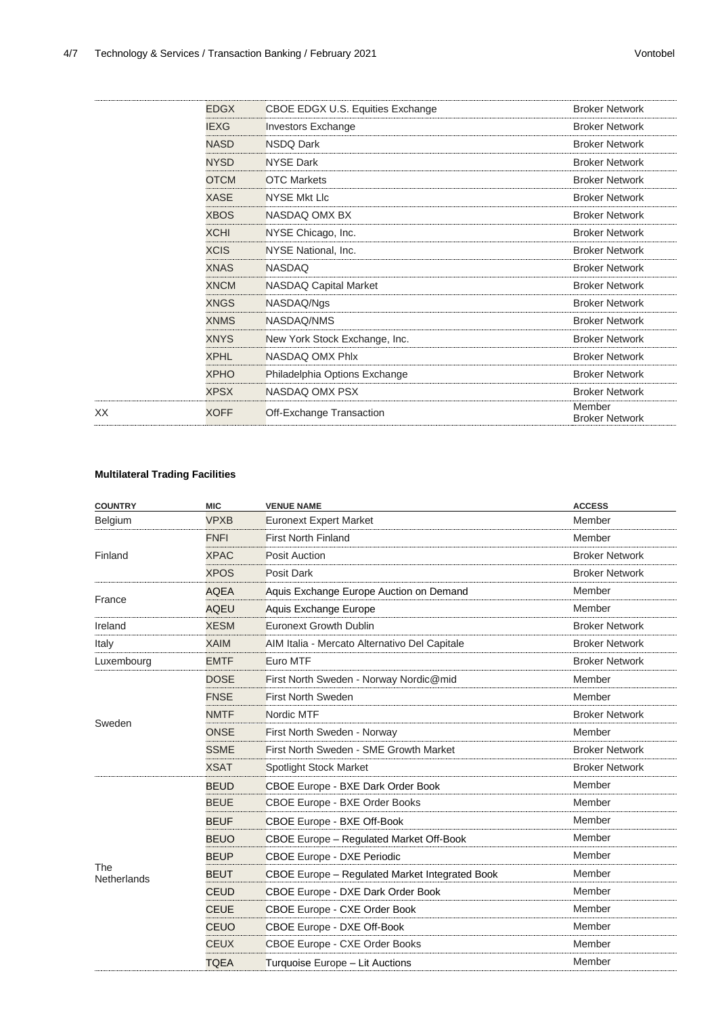|    | <b>EDGX</b> | CBOE EDGX U.S. Equities Exchange | <b>Broker Network</b>           |
|----|-------------|----------------------------------|---------------------------------|
|    | <b>IEXG</b> | <b>Investors Exchange</b>        | <b>Broker Network</b>           |
|    | <b>NASD</b> | NSDQ Dark                        | <b>Broker Network</b>           |
|    | <b>NYSD</b> | <b>NYSE Dark</b>                 | <b>Broker Network</b>           |
|    | <b>OTCM</b> | <b>OTC Markets</b>               | <b>Broker Network</b>           |
|    | XASE        | <b>NYSE Mkt Lic</b>              | <b>Broker Network</b>           |
|    | <b>XBOS</b> | NASDAQ OMX BX                    | <b>Broker Network</b>           |
|    | <b>XCHI</b> | NYSE Chicago, Inc.               | <b>Broker Network</b>           |
|    | <b>XCIS</b> | NYSE National, Inc.              | <b>Broker Network</b>           |
|    | <b>XNAS</b> | <b>NASDAQ</b>                    | <b>Broker Network</b>           |
|    | <b>XNCM</b> | <b>NASDAQ Capital Market</b>     | <b>Broker Network</b>           |
|    | <b>XNGS</b> | NASDAQ/Ngs                       | <b>Broker Network</b>           |
|    | <b>XNMS</b> | NASDAQ/NMS                       | <b>Broker Network</b>           |
|    | <b>XNYS</b> | New York Stock Exchange, Inc.    | <b>Broker Network</b>           |
|    | <b>XPHL</b> | NASDAQ OMX Phlx                  | <b>Broker Network</b>           |
|    | <b>XPHO</b> | Philadelphia Options Exchange    | <b>Broker Network</b>           |
|    | <b>XPSX</b> | NASDAQ OMX PSX                   | <b>Broker Network</b>           |
| XX | <b>XOFF</b> | Off-Exchange Transaction         | Member<br><b>Broker Network</b> |
|    |             |                                  |                                 |

#### **Multilateral Trading Facilities**

| <b>COUNTRY</b>     | <b>MIC</b>  | <b>VENUE NAME</b>                              | <b>ACCESS</b>         |
|--------------------|-------------|------------------------------------------------|-----------------------|
| Belgium            | <b>VPXB</b> | <b>Euronext Expert Market</b>                  | Member                |
| Finland            | <b>FNFI</b> | <b>First North Finland</b>                     | Member                |
|                    | <b>XPAC</b> | <b>Posit Auction</b>                           | <b>Broker Network</b> |
|                    | <b>XPOS</b> | <b>Posit Dark</b>                              | <b>Broker Network</b> |
| France             | <b>AQEA</b> | Aquis Exchange Europe Auction on Demand        | Member                |
|                    | <b>AQEU</b> | Aquis Exchange Europe                          | Member                |
| Ireland            | <b>XESM</b> | <b>Euronext Growth Dublin</b>                  | <b>Broker Network</b> |
| Italy              | <b>XAIM</b> | AIM Italia - Mercato Alternativo Del Capitale  | <b>Broker Network</b> |
| Luxembourg         | <b>EMTF</b> | <b>Euro MTF</b>                                | <b>Broker Network</b> |
|                    | <b>DOSE</b> | First North Sweden - Norway Nordic@mid         | Member                |
|                    | <b>FNSE</b> | <b>First North Sweden</b>                      | Member                |
| Sweden             | <b>NMTF</b> | Nordic MTF                                     | <b>Broker Network</b> |
|                    | <b>ONSE</b> | First North Sweden - Norway                    | Member                |
|                    | <b>SSME</b> | First North Sweden - SME Growth Market         | <b>Broker Network</b> |
|                    | <b>XSAT</b> | <b>Spotlight Stock Market</b>                  | <b>Broker Network</b> |
|                    | <b>BEUD</b> | CBOE Europe - BXE Dark Order Book              | Member                |
|                    | <b>BEUE</b> | <b>CBOE Europe - BXE Order Books</b>           | Member                |
|                    | <b>BEUF</b> | <b>CBOE Europe - BXE Off-Book</b>              | Member                |
|                    | <b>BEUO</b> | CBOE Europe - Regulated Market Off-Book        | Member                |
|                    | <b>BEUP</b> | <b>CBOE Europe - DXE Periodic</b>              | Member                |
| The<br>Netherlands | <b>BEUT</b> | CBOE Europe - Regulated Market Integrated Book | Member                |
|                    | <b>CEUD</b> | CBOE Europe - DXE Dark Order Book              | Member                |
|                    | <b>CEUE</b> | <b>CBOE Europe - CXE Order Book</b>            | Member                |
|                    | <b>CEUO</b> | CBOE Europe - DXE Off-Book                     | Member                |
|                    | <b>CEUX</b> | CBOE Europe - CXE Order Books                  | Member                |
|                    | <b>TQEA</b> | Turquoise Europe - Lit Auctions                | Member                |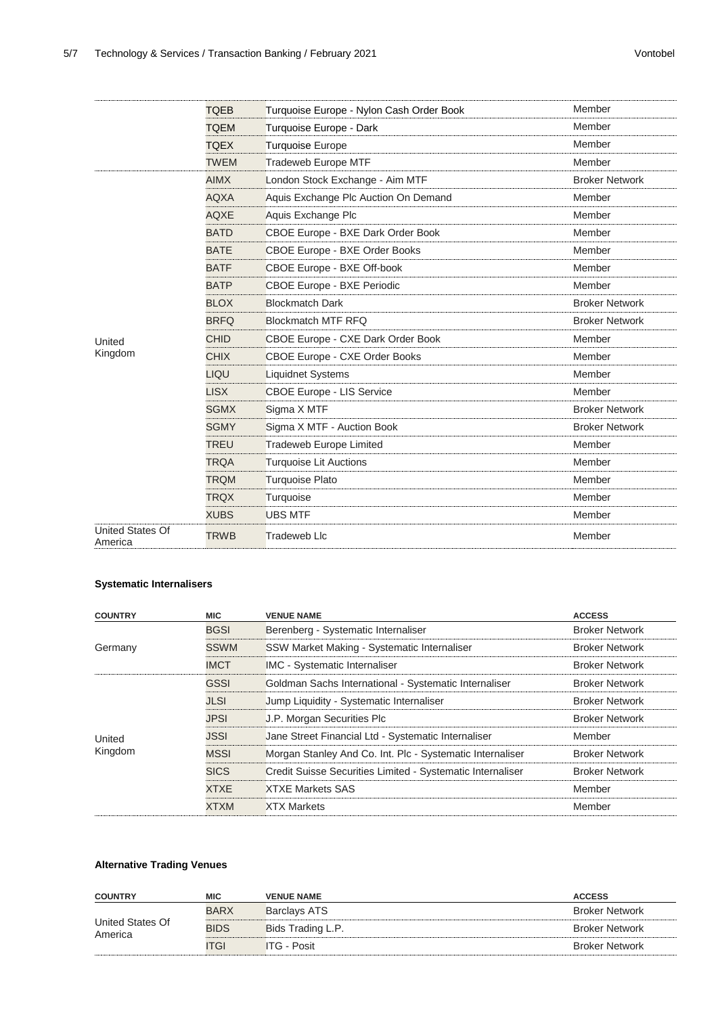|                                    | <b>TQEB</b> | Turquoise Europe - Nylon Cash Order Book | Member                |
|------------------------------------|-------------|------------------------------------------|-----------------------|
|                                    | <b>TQEM</b> | Turquoise Europe - Dark                  | Member                |
|                                    | <b>TQEX</b> | <b>Turquoise Europe</b>                  | Member                |
|                                    | <b>TWEM</b> | <b>Tradeweb Europe MTF</b>               | Member                |
|                                    | <b>AIMX</b> | London Stock Exchange - Aim MTF          | <b>Broker Network</b> |
|                                    | <b>AQXA</b> | Aquis Exchange Plc Auction On Demand     | Member                |
|                                    | AQXE        | Aquis Exchange Plc                       | Member                |
|                                    | <b>BATD</b> | CBOE Europe - BXE Dark Order Book        | Member                |
|                                    | <b>BATE</b> | CBOE Europe - BXE Order Books            | Member                |
|                                    | <b>BATF</b> | CBOE Europe - BXE Off-book               | Member                |
|                                    | <b>BATP</b> | <b>CBOE Europe - BXE Periodic</b>        | Member                |
|                                    | <b>BLOX</b> | <b>Blockmatch Dark</b>                   | <b>Broker Network</b> |
|                                    | <b>BRFQ</b> | <b>Blockmatch MTF RFQ</b>                | <b>Broker Network</b> |
| United                             | <b>CHID</b> | CBOE Europe - CXE Dark Order Book        | Member                |
| Kingdom                            | <b>CHIX</b> | <b>CBOE Europe - CXE Order Books</b>     | Member                |
|                                    | LIQU        | <b>Liquidnet Systems</b>                 | Member                |
|                                    | <b>LISX</b> | <b>CBOE Europe - LIS Service</b>         | Member                |
|                                    | <b>SGMX</b> | Sigma X MTF                              | <b>Broker Network</b> |
|                                    | <b>SGMY</b> | Sigma X MTF - Auction Book               | <b>Broker Network</b> |
|                                    | <b>TREU</b> | <b>Tradeweb Europe Limited</b>           | Member                |
|                                    | <b>TRQA</b> | <b>Turquoise Lit Auctions</b>            | Member                |
|                                    | <b>TRQM</b> | <b>Turquoise Plato</b>                   | Member                |
|                                    | <b>TRQX</b> | Turquoise                                | Member                |
|                                    | <b>XUBS</b> | <b>UBS MTF</b>                           | Member                |
| <b>United States Of</b><br>America | <b>TRWB</b> | <b>Tradeweb Llc</b>                      | Member                |

#### **Systematic Internalisers**

| <b>ACCESS</b><br><b>COUNTRY</b><br><b>MIC</b><br><b>VENUE NAME</b>                                           |  |
|--------------------------------------------------------------------------------------------------------------|--|
| <b>BGSI</b><br><b>Broker Network</b><br>Berenberg - Systematic Internaliser                                  |  |
| <b>SSWM</b><br>SSW Market Making - Systematic Internaliser<br><b>Broker Network</b><br>Germany               |  |
| <b>IMC - Systematic Internaliser</b><br><b>IMCT</b><br><b>Broker Network</b>                                 |  |
| GSSI<br>Goldman Sachs International - Systematic Internaliser<br><b>Broker Network</b>                       |  |
| <b>JLSI</b><br>Jump Liquidity - Systematic Internaliser<br><b>Broker Network</b>                             |  |
| <b>JPSI</b><br>J.P. Morgan Securities Plc<br><b>Broker Network</b>                                           |  |
| JSSI<br>Jane Street Financial Ltd - Systematic Internaliser<br>Member<br>United                              |  |
| Kingdom<br>Morgan Stanley And Co. Int. Plc - Systematic Internaliser<br><b>MSSI</b><br><b>Broker Network</b> |  |
| <b>SICS</b><br>Credit Suisse Securities Limited - Systematic Internaliser<br><b>Broker Network</b>           |  |
| <b>XTXE</b><br><b>XTXE Markets SAS</b><br>Member                                                             |  |
| <b>XTXM</b><br><b>XTX Markets</b><br>Member                                                                  |  |

#### **Alternative Trading Venues**

| <b>COUNTRY</b>              | <b>MIC</b>  | <b>VENUE NAME</b>   | <b>ACCESS</b>         |
|-----------------------------|-------------|---------------------|-----------------------|
|                             | <b>BARX</b> | <b>Barclays ATS</b> | <b>Broker Network</b> |
| United States Of<br>America | <b>BIDS</b> | Bids Trading L.P.   | <b>Broker Network</b> |
|                             | <b>TGI</b>  | $IG - Posit$        | <b>Broker Network</b> |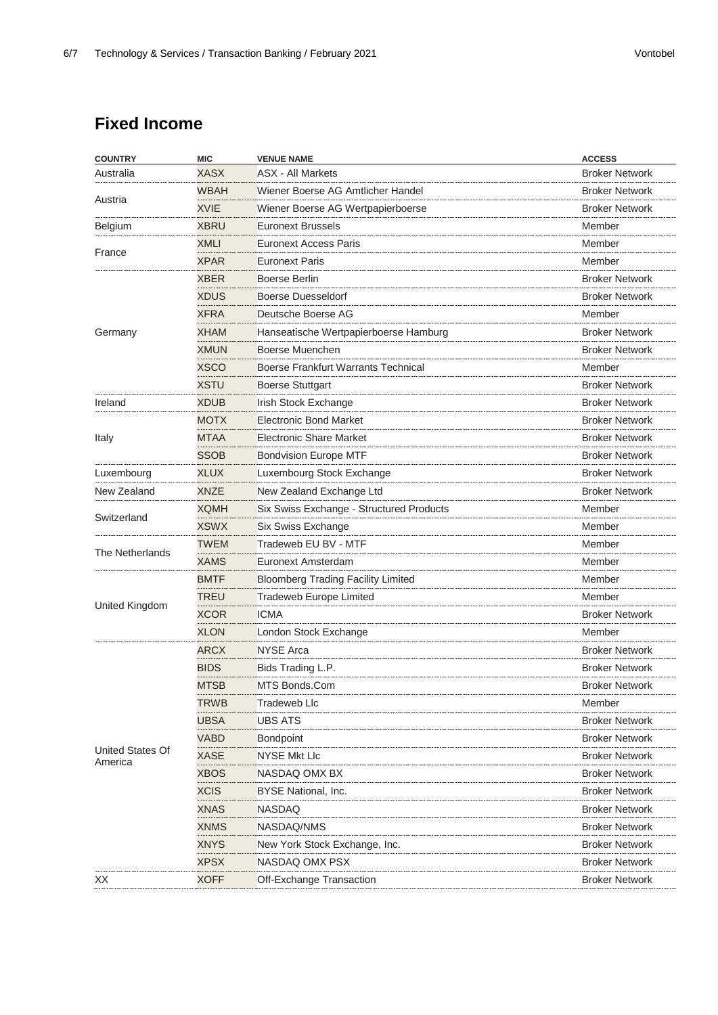### **Fixed Income**

| <b>XASX</b><br><b>ASX - All Markets</b><br><b>Broker Network</b><br>Wiener Boerse AG Amtlicher Handel<br><b>Broker Network</b><br><b>WBAH</b><br>Austria<br><b>XVIE</b><br><b>Broker Network</b><br>Wiener Boerse AG Wertpapierboerse<br><b>XBRU</b><br><b>Furonext Brussels</b><br>Member<br><b>Euronext Access Paris</b><br>XMLI<br>Member<br>France<br><b>XPAR</b><br><b>Euronext Paris</b><br>Member<br>Boerse Berlin<br><b>Broker Network</b><br>XBER<br><b>XDUS</b><br><b>Broker Network</b><br>Boerse Duesseldorf<br><b>XFRA</b><br>Deutsche Boerse AG<br>Member<br><b>Broker Network</b><br><b>XHAM</b><br>Hanseatische Wertpapierboerse Hamburg<br><b>XMUN</b><br>Boerse Muenchen<br><b>Broker Network</b><br><b>XSCO</b><br>Boerse Frankfurt Warrants Technical<br>Member<br><b>XSTU</b><br><b>Broker Network</b><br><b>Boerse Stuttgart</b><br><b>Broker Network</b><br><b>XDUB</b><br><b>Irish Stock Exchange</b><br><b>MOTX</b><br><b>Electronic Bond Market</b><br><b>Broker Network</b><br><b>Electronic Share Market</b><br><b>Broker Network</b><br><b>MTAA</b><br><b>SSOB</b><br><b>Broker Network</b><br><b>Bondvision Europe MTF</b><br><b>XLUX</b><br>Luxembourg Stock Exchange<br><b>Broker Network</b><br>New Zealand Exchange Ltd<br><b>Broker Network</b><br><b>XNZE</b><br>Six Swiss Exchange - Structured Products<br><b>XQMH</b><br>Member<br>Switzerland<br><b>XSWX</b><br>Six Swiss Exchange<br>Member<br>Tradeweb EU BV - MTF<br><b>TWEM</b><br>Member<br>The Netherlands<br>XAMS<br>Euronext Amsterdam<br>Member<br><b>BMTF</b><br><b>Bloomberg Trading Facility Limited</b><br>Member<br><b>Tradeweb Europe Limited</b><br>TREU<br>Member<br>United Kingdom<br><b>XCOR</b><br><b>ICMA</b><br><b>Broker Network</b><br><b>XLON</b><br>London Stock Exchange<br>Member<br><b>ARCX</b><br><b>NYSE Arca</b><br><b>Broker Network</b><br><b>BIDS</b><br>Bids Trading L.P.<br><b>Broker Network</b><br><b>MTSB</b><br>MTS Bonds.Com<br><b>Broker Network</b><br><b>TRWB</b><br><b>Tradeweb Llc</b><br>Member<br><b>UBS ATS</b><br><b>Broker Network</b><br><b>UBSA</b><br><b>VABD</b><br><b>Broker Network</b><br><b>Bondpoint</b><br><b>XASE</b><br><b>NYSE Mkt Llc</b><br><b>Broker Network</b><br><b>XBOS</b><br>NASDAQ OMX BX<br><b>Broker Network</b><br><b>XCIS</b><br><b>Broker Network</b><br><b>BYSE National, Inc.</b> | <b>COUNTRY</b>              | <b>MIC</b>  | <b>VENUE NAME</b> | <b>ACCESS</b>         |
|-------------------------------------------------------------------------------------------------------------------------------------------------------------------------------------------------------------------------------------------------------------------------------------------------------------------------------------------------------------------------------------------------------------------------------------------------------------------------------------------------------------------------------------------------------------------------------------------------------------------------------------------------------------------------------------------------------------------------------------------------------------------------------------------------------------------------------------------------------------------------------------------------------------------------------------------------------------------------------------------------------------------------------------------------------------------------------------------------------------------------------------------------------------------------------------------------------------------------------------------------------------------------------------------------------------------------------------------------------------------------------------------------------------------------------------------------------------------------------------------------------------------------------------------------------------------------------------------------------------------------------------------------------------------------------------------------------------------------------------------------------------------------------------------------------------------------------------------------------------------------------------------------------------------------------------------------------------------------------------------------------------------------------------------------------------------------------------------------------------------------------------------------------------------------------------------------------------------------------------------------------------------------------------------------------------------------------------------------------------|-----------------------------|-------------|-------------------|-----------------------|
|                                                                                                                                                                                                                                                                                                                                                                                                                                                                                                                                                                                                                                                                                                                                                                                                                                                                                                                                                                                                                                                                                                                                                                                                                                                                                                                                                                                                                                                                                                                                                                                                                                                                                                                                                                                                                                                                                                                                                                                                                                                                                                                                                                                                                                                                                                                                                             | Australia                   |             |                   |                       |
|                                                                                                                                                                                                                                                                                                                                                                                                                                                                                                                                                                                                                                                                                                                                                                                                                                                                                                                                                                                                                                                                                                                                                                                                                                                                                                                                                                                                                                                                                                                                                                                                                                                                                                                                                                                                                                                                                                                                                                                                                                                                                                                                                                                                                                                                                                                                                             |                             |             |                   |                       |
|                                                                                                                                                                                                                                                                                                                                                                                                                                                                                                                                                                                                                                                                                                                                                                                                                                                                                                                                                                                                                                                                                                                                                                                                                                                                                                                                                                                                                                                                                                                                                                                                                                                                                                                                                                                                                                                                                                                                                                                                                                                                                                                                                                                                                                                                                                                                                             |                             |             |                   |                       |
|                                                                                                                                                                                                                                                                                                                                                                                                                                                                                                                                                                                                                                                                                                                                                                                                                                                                                                                                                                                                                                                                                                                                                                                                                                                                                                                                                                                                                                                                                                                                                                                                                                                                                                                                                                                                                                                                                                                                                                                                                                                                                                                                                                                                                                                                                                                                                             | Belgium                     |             |                   |                       |
|                                                                                                                                                                                                                                                                                                                                                                                                                                                                                                                                                                                                                                                                                                                                                                                                                                                                                                                                                                                                                                                                                                                                                                                                                                                                                                                                                                                                                                                                                                                                                                                                                                                                                                                                                                                                                                                                                                                                                                                                                                                                                                                                                                                                                                                                                                                                                             |                             |             |                   |                       |
|                                                                                                                                                                                                                                                                                                                                                                                                                                                                                                                                                                                                                                                                                                                                                                                                                                                                                                                                                                                                                                                                                                                                                                                                                                                                                                                                                                                                                                                                                                                                                                                                                                                                                                                                                                                                                                                                                                                                                                                                                                                                                                                                                                                                                                                                                                                                                             |                             |             |                   |                       |
|                                                                                                                                                                                                                                                                                                                                                                                                                                                                                                                                                                                                                                                                                                                                                                                                                                                                                                                                                                                                                                                                                                                                                                                                                                                                                                                                                                                                                                                                                                                                                                                                                                                                                                                                                                                                                                                                                                                                                                                                                                                                                                                                                                                                                                                                                                                                                             |                             |             |                   |                       |
|                                                                                                                                                                                                                                                                                                                                                                                                                                                                                                                                                                                                                                                                                                                                                                                                                                                                                                                                                                                                                                                                                                                                                                                                                                                                                                                                                                                                                                                                                                                                                                                                                                                                                                                                                                                                                                                                                                                                                                                                                                                                                                                                                                                                                                                                                                                                                             |                             |             |                   |                       |
|                                                                                                                                                                                                                                                                                                                                                                                                                                                                                                                                                                                                                                                                                                                                                                                                                                                                                                                                                                                                                                                                                                                                                                                                                                                                                                                                                                                                                                                                                                                                                                                                                                                                                                                                                                                                                                                                                                                                                                                                                                                                                                                                                                                                                                                                                                                                                             |                             |             |                   |                       |
|                                                                                                                                                                                                                                                                                                                                                                                                                                                                                                                                                                                                                                                                                                                                                                                                                                                                                                                                                                                                                                                                                                                                                                                                                                                                                                                                                                                                                                                                                                                                                                                                                                                                                                                                                                                                                                                                                                                                                                                                                                                                                                                                                                                                                                                                                                                                                             | Germany                     |             |                   |                       |
|                                                                                                                                                                                                                                                                                                                                                                                                                                                                                                                                                                                                                                                                                                                                                                                                                                                                                                                                                                                                                                                                                                                                                                                                                                                                                                                                                                                                                                                                                                                                                                                                                                                                                                                                                                                                                                                                                                                                                                                                                                                                                                                                                                                                                                                                                                                                                             |                             |             |                   |                       |
|                                                                                                                                                                                                                                                                                                                                                                                                                                                                                                                                                                                                                                                                                                                                                                                                                                                                                                                                                                                                                                                                                                                                                                                                                                                                                                                                                                                                                                                                                                                                                                                                                                                                                                                                                                                                                                                                                                                                                                                                                                                                                                                                                                                                                                                                                                                                                             |                             |             |                   |                       |
|                                                                                                                                                                                                                                                                                                                                                                                                                                                                                                                                                                                                                                                                                                                                                                                                                                                                                                                                                                                                                                                                                                                                                                                                                                                                                                                                                                                                                                                                                                                                                                                                                                                                                                                                                                                                                                                                                                                                                                                                                                                                                                                                                                                                                                                                                                                                                             |                             |             |                   |                       |
|                                                                                                                                                                                                                                                                                                                                                                                                                                                                                                                                                                                                                                                                                                                                                                                                                                                                                                                                                                                                                                                                                                                                                                                                                                                                                                                                                                                                                                                                                                                                                                                                                                                                                                                                                                                                                                                                                                                                                                                                                                                                                                                                                                                                                                                                                                                                                             | Ireland                     |             |                   |                       |
|                                                                                                                                                                                                                                                                                                                                                                                                                                                                                                                                                                                                                                                                                                                                                                                                                                                                                                                                                                                                                                                                                                                                                                                                                                                                                                                                                                                                                                                                                                                                                                                                                                                                                                                                                                                                                                                                                                                                                                                                                                                                                                                                                                                                                                                                                                                                                             |                             |             |                   |                       |
|                                                                                                                                                                                                                                                                                                                                                                                                                                                                                                                                                                                                                                                                                                                                                                                                                                                                                                                                                                                                                                                                                                                                                                                                                                                                                                                                                                                                                                                                                                                                                                                                                                                                                                                                                                                                                                                                                                                                                                                                                                                                                                                                                                                                                                                                                                                                                             | Italy                       |             |                   |                       |
|                                                                                                                                                                                                                                                                                                                                                                                                                                                                                                                                                                                                                                                                                                                                                                                                                                                                                                                                                                                                                                                                                                                                                                                                                                                                                                                                                                                                                                                                                                                                                                                                                                                                                                                                                                                                                                                                                                                                                                                                                                                                                                                                                                                                                                                                                                                                                             |                             |             |                   |                       |
|                                                                                                                                                                                                                                                                                                                                                                                                                                                                                                                                                                                                                                                                                                                                                                                                                                                                                                                                                                                                                                                                                                                                                                                                                                                                                                                                                                                                                                                                                                                                                                                                                                                                                                                                                                                                                                                                                                                                                                                                                                                                                                                                                                                                                                                                                                                                                             | Luxembourg                  |             |                   |                       |
|                                                                                                                                                                                                                                                                                                                                                                                                                                                                                                                                                                                                                                                                                                                                                                                                                                                                                                                                                                                                                                                                                                                                                                                                                                                                                                                                                                                                                                                                                                                                                                                                                                                                                                                                                                                                                                                                                                                                                                                                                                                                                                                                                                                                                                                                                                                                                             | New Zealand                 |             |                   |                       |
|                                                                                                                                                                                                                                                                                                                                                                                                                                                                                                                                                                                                                                                                                                                                                                                                                                                                                                                                                                                                                                                                                                                                                                                                                                                                                                                                                                                                                                                                                                                                                                                                                                                                                                                                                                                                                                                                                                                                                                                                                                                                                                                                                                                                                                                                                                                                                             |                             |             |                   |                       |
|                                                                                                                                                                                                                                                                                                                                                                                                                                                                                                                                                                                                                                                                                                                                                                                                                                                                                                                                                                                                                                                                                                                                                                                                                                                                                                                                                                                                                                                                                                                                                                                                                                                                                                                                                                                                                                                                                                                                                                                                                                                                                                                                                                                                                                                                                                                                                             |                             |             |                   |                       |
|                                                                                                                                                                                                                                                                                                                                                                                                                                                                                                                                                                                                                                                                                                                                                                                                                                                                                                                                                                                                                                                                                                                                                                                                                                                                                                                                                                                                                                                                                                                                                                                                                                                                                                                                                                                                                                                                                                                                                                                                                                                                                                                                                                                                                                                                                                                                                             |                             |             |                   |                       |
|                                                                                                                                                                                                                                                                                                                                                                                                                                                                                                                                                                                                                                                                                                                                                                                                                                                                                                                                                                                                                                                                                                                                                                                                                                                                                                                                                                                                                                                                                                                                                                                                                                                                                                                                                                                                                                                                                                                                                                                                                                                                                                                                                                                                                                                                                                                                                             |                             |             |                   |                       |
|                                                                                                                                                                                                                                                                                                                                                                                                                                                                                                                                                                                                                                                                                                                                                                                                                                                                                                                                                                                                                                                                                                                                                                                                                                                                                                                                                                                                                                                                                                                                                                                                                                                                                                                                                                                                                                                                                                                                                                                                                                                                                                                                                                                                                                                                                                                                                             |                             |             |                   |                       |
|                                                                                                                                                                                                                                                                                                                                                                                                                                                                                                                                                                                                                                                                                                                                                                                                                                                                                                                                                                                                                                                                                                                                                                                                                                                                                                                                                                                                                                                                                                                                                                                                                                                                                                                                                                                                                                                                                                                                                                                                                                                                                                                                                                                                                                                                                                                                                             |                             |             |                   |                       |
|                                                                                                                                                                                                                                                                                                                                                                                                                                                                                                                                                                                                                                                                                                                                                                                                                                                                                                                                                                                                                                                                                                                                                                                                                                                                                                                                                                                                                                                                                                                                                                                                                                                                                                                                                                                                                                                                                                                                                                                                                                                                                                                                                                                                                                                                                                                                                             |                             |             |                   |                       |
|                                                                                                                                                                                                                                                                                                                                                                                                                                                                                                                                                                                                                                                                                                                                                                                                                                                                                                                                                                                                                                                                                                                                                                                                                                                                                                                                                                                                                                                                                                                                                                                                                                                                                                                                                                                                                                                                                                                                                                                                                                                                                                                                                                                                                                                                                                                                                             |                             |             |                   |                       |
|                                                                                                                                                                                                                                                                                                                                                                                                                                                                                                                                                                                                                                                                                                                                                                                                                                                                                                                                                                                                                                                                                                                                                                                                                                                                                                                                                                                                                                                                                                                                                                                                                                                                                                                                                                                                                                                                                                                                                                                                                                                                                                                                                                                                                                                                                                                                                             |                             |             |                   |                       |
|                                                                                                                                                                                                                                                                                                                                                                                                                                                                                                                                                                                                                                                                                                                                                                                                                                                                                                                                                                                                                                                                                                                                                                                                                                                                                                                                                                                                                                                                                                                                                                                                                                                                                                                                                                                                                                                                                                                                                                                                                                                                                                                                                                                                                                                                                                                                                             |                             |             |                   |                       |
|                                                                                                                                                                                                                                                                                                                                                                                                                                                                                                                                                                                                                                                                                                                                                                                                                                                                                                                                                                                                                                                                                                                                                                                                                                                                                                                                                                                                                                                                                                                                                                                                                                                                                                                                                                                                                                                                                                                                                                                                                                                                                                                                                                                                                                                                                                                                                             |                             |             |                   |                       |
|                                                                                                                                                                                                                                                                                                                                                                                                                                                                                                                                                                                                                                                                                                                                                                                                                                                                                                                                                                                                                                                                                                                                                                                                                                                                                                                                                                                                                                                                                                                                                                                                                                                                                                                                                                                                                                                                                                                                                                                                                                                                                                                                                                                                                                                                                                                                                             |                             |             |                   |                       |
|                                                                                                                                                                                                                                                                                                                                                                                                                                                                                                                                                                                                                                                                                                                                                                                                                                                                                                                                                                                                                                                                                                                                                                                                                                                                                                                                                                                                                                                                                                                                                                                                                                                                                                                                                                                                                                                                                                                                                                                                                                                                                                                                                                                                                                                                                                                                                             |                             |             |                   |                       |
|                                                                                                                                                                                                                                                                                                                                                                                                                                                                                                                                                                                                                                                                                                                                                                                                                                                                                                                                                                                                                                                                                                                                                                                                                                                                                                                                                                                                                                                                                                                                                                                                                                                                                                                                                                                                                                                                                                                                                                                                                                                                                                                                                                                                                                                                                                                                                             |                             |             |                   |                       |
|                                                                                                                                                                                                                                                                                                                                                                                                                                                                                                                                                                                                                                                                                                                                                                                                                                                                                                                                                                                                                                                                                                                                                                                                                                                                                                                                                                                                                                                                                                                                                                                                                                                                                                                                                                                                                                                                                                                                                                                                                                                                                                                                                                                                                                                                                                                                                             | United States Of<br>America |             |                   |                       |
|                                                                                                                                                                                                                                                                                                                                                                                                                                                                                                                                                                                                                                                                                                                                                                                                                                                                                                                                                                                                                                                                                                                                                                                                                                                                                                                                                                                                                                                                                                                                                                                                                                                                                                                                                                                                                                                                                                                                                                                                                                                                                                                                                                                                                                                                                                                                                             |                             |             |                   |                       |
|                                                                                                                                                                                                                                                                                                                                                                                                                                                                                                                                                                                                                                                                                                                                                                                                                                                                                                                                                                                                                                                                                                                                                                                                                                                                                                                                                                                                                                                                                                                                                                                                                                                                                                                                                                                                                                                                                                                                                                                                                                                                                                                                                                                                                                                                                                                                                             |                             |             |                   |                       |
|                                                                                                                                                                                                                                                                                                                                                                                                                                                                                                                                                                                                                                                                                                                                                                                                                                                                                                                                                                                                                                                                                                                                                                                                                                                                                                                                                                                                                                                                                                                                                                                                                                                                                                                                                                                                                                                                                                                                                                                                                                                                                                                                                                                                                                                                                                                                                             |                             | <b>XNAS</b> | <b>NASDAQ</b>     | <b>Broker Network</b> |
| <b>XNMS</b><br>NASDAQ/NMS<br><b>Broker Network</b>                                                                                                                                                                                                                                                                                                                                                                                                                                                                                                                                                                                                                                                                                                                                                                                                                                                                                                                                                                                                                                                                                                                                                                                                                                                                                                                                                                                                                                                                                                                                                                                                                                                                                                                                                                                                                                                                                                                                                                                                                                                                                                                                                                                                                                                                                                          |                             |             |                   |                       |
| <b>XNYS</b><br><b>Broker Network</b><br>New York Stock Exchange, Inc.                                                                                                                                                                                                                                                                                                                                                                                                                                                                                                                                                                                                                                                                                                                                                                                                                                                                                                                                                                                                                                                                                                                                                                                                                                                                                                                                                                                                                                                                                                                                                                                                                                                                                                                                                                                                                                                                                                                                                                                                                                                                                                                                                                                                                                                                                       |                             |             |                   |                       |
| <b>XPSX</b><br>NASDAQ OMX PSX<br><b>Broker Network</b>                                                                                                                                                                                                                                                                                                                                                                                                                                                                                                                                                                                                                                                                                                                                                                                                                                                                                                                                                                                                                                                                                                                                                                                                                                                                                                                                                                                                                                                                                                                                                                                                                                                                                                                                                                                                                                                                                                                                                                                                                                                                                                                                                                                                                                                                                                      |                             |             |                   |                       |
| <b>Broker Network</b><br><b>XOFF</b><br>Off-Exchange Transaction                                                                                                                                                                                                                                                                                                                                                                                                                                                                                                                                                                                                                                                                                                                                                                                                                                                                                                                                                                                                                                                                                                                                                                                                                                                                                                                                                                                                                                                                                                                                                                                                                                                                                                                                                                                                                                                                                                                                                                                                                                                                                                                                                                                                                                                                                            | XХ                          |             |                   |                       |